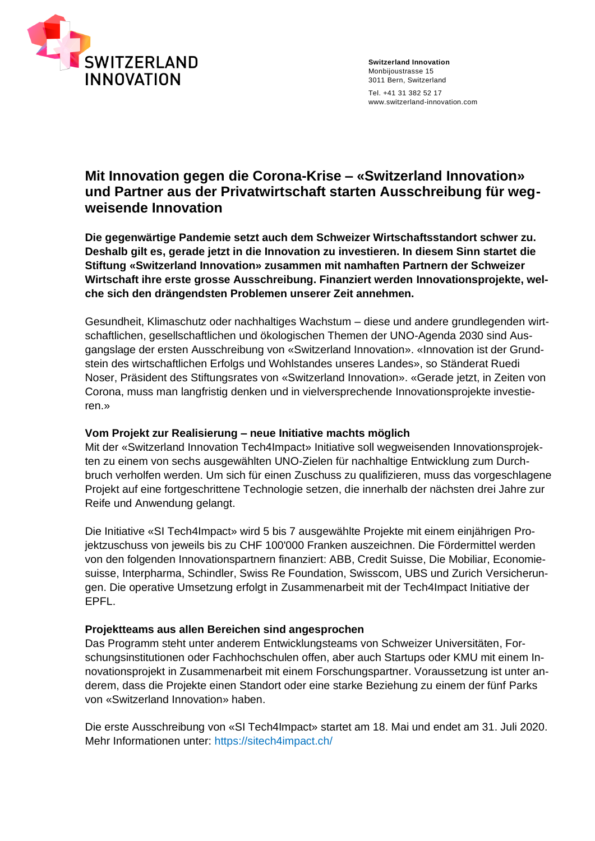

## **Mit Innovation gegen die Corona-Krise – «Switzerland Innovation» und Partner aus der Privatwirtschaft starten Ausschreibung für wegweisende Innovation**

**Die gegenwärtige Pandemie setzt auch dem Schweizer Wirtschaftsstandort schwer zu. Deshalb gilt es, gerade jetzt in die Innovation zu investieren. In diesem Sinn startet die Stiftung «Switzerland Innovation» zusammen mit namhaften Partnern der Schweizer Wirtschaft ihre erste grosse Ausschreibung. Finanziert werden Innovationsprojekte, welche sich den drängendsten Problemen unserer Zeit annehmen.**

Gesundheit, Klimaschutz oder nachhaltiges Wachstum – diese und andere grundlegenden wirtschaftlichen, gesellschaftlichen und ökologischen Themen der UNO-Agenda 2030 sind Ausgangslage der ersten Ausschreibung von «Switzerland Innovation». «Innovation ist der Grundstein des wirtschaftlichen Erfolgs und Wohlstandes unseres Landes», so Ständerat Ruedi Noser, Präsident des Stiftungsrates von «Switzerland Innovation». «Gerade jetzt, in Zeiten von Corona, muss man langfristig denken und in vielversprechende Innovationsprojekte investieren.»

#### **Vom Projekt zur Realisierung – neue Initiative machts möglich**

Mit der «Switzerland Innovation Tech4Impact» Initiative soll wegweisenden Innovationsprojekten zu einem von sechs ausgewählten UNO-Zielen für nachhaltige Entwicklung zum Durchbruch verholfen werden. Um sich für einen Zuschuss zu qualifizieren, muss das vorgeschlagene Projekt auf eine fortgeschrittene Technologie setzen, die innerhalb der nächsten drei Jahre zur Reife und Anwendung gelangt.

Die Initiative «SI Tech4Impact» wird 5 bis 7 ausgewählte Projekte mit einem einjährigen Projektzuschuss von jeweils bis zu CHF 100'000 Franken auszeichnen. Die Fördermittel werden von den folgenden Innovationspartnern finanziert: ABB, Credit Suisse, Die Mobiliar, Economiesuisse, Interpharma, Schindler, Swiss Re Foundation, Swisscom, UBS und Zurich Versicherungen. Die operative Umsetzung erfolgt in Zusammenarbeit mit der Tech4Impact Initiative der EPFL.

### **Projektteams aus allen Bereichen sind angesprochen**

Das Programm steht unter anderem Entwicklungsteams von Schweizer Universitäten, Forschungsinstitutionen oder Fachhochschulen offen, aber auch Startups oder KMU mit einem Innovationsprojekt in Zusammenarbeit mit einem Forschungspartner. Voraussetzung ist unter anderem, dass die Projekte einen Standort oder eine starke Beziehung zu einem der fünf Parks von «Switzerland Innovation» haben.

Die erste Ausschreibung von «SI Tech4Impact» startet am 18. Mai und endet am 31. Juli 2020. Mehr Informationen unter:<https://sitech4impact.ch/>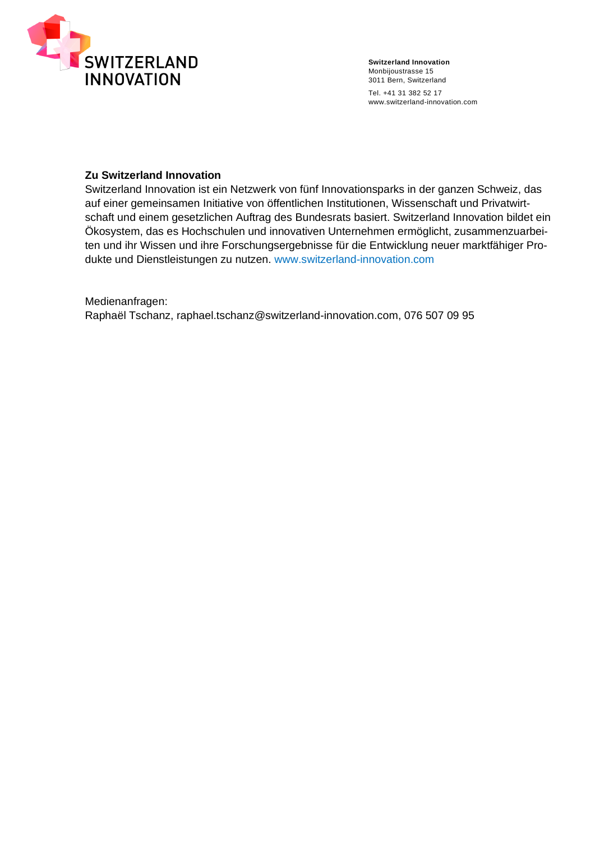

#### **Zu Switzerland Innovation**

Switzerland Innovation ist ein Netzwerk von fünf Innovationsparks in der ganzen Schweiz, das auf einer gemeinsamen Initiative von öffentlichen Institutionen, Wissenschaft und Privatwirtschaft und einem gesetzlichen Auftrag des Bundesrats basiert. Switzerland Innovation bildet ein Ökosystem, das es Hochschulen und innovativen Unternehmen ermöglicht, zusammenzuarbeiten und ihr Wissen und ihre Forschungsergebnisse für die Entwicklung neuer marktfähiger Produkte und Dienstleistungen zu nutzen. [www.switzerland-innovation.com](https://swissinnovationpark.sharepoint.com/6%20GREMIEN/69%20SITECH4IMPACT/COMMS/www.switzerland-innovation.com)

Medienanfragen: Raphaël Tschanz, [raphael.tschanz@switzerland-innovation.com,](mailto:raphael.tschanz@switzerland-innovation.com) 076 507 09 95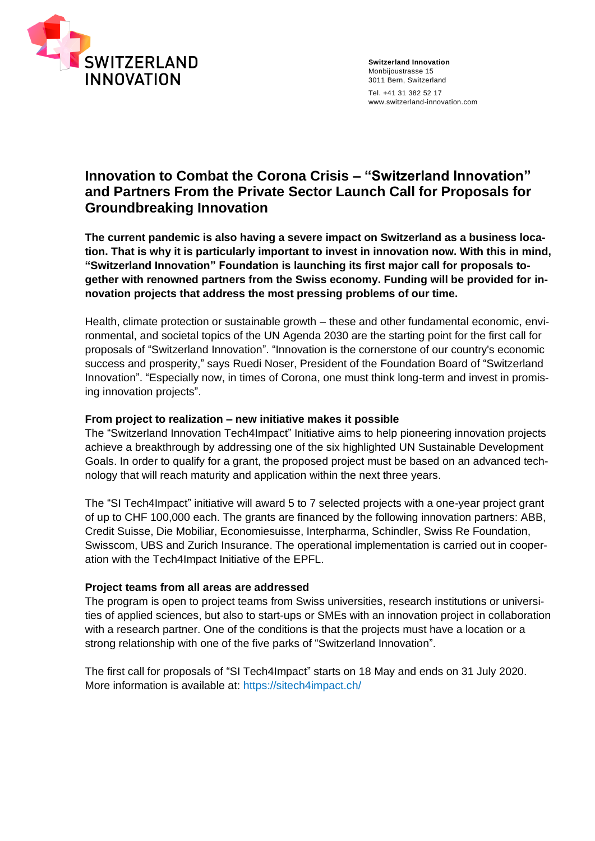

# **Innovation to Combat the Corona Crisis – "Switzerland Innovation" and Partners From the Private Sector Launch Call for Proposals for Groundbreaking Innovation**

**The current pandemic is also having a severe impact on Switzerland as a business location. That is why it is particularly important to invest in innovation now. With this in mind, "Switzerland Innovation" Foundation is launching its first major call for proposals together with renowned partners from the Swiss economy. Funding will be provided for innovation projects that address the most pressing problems of our time.**

Health, climate protection or sustainable growth – these and other fundamental economic, environmental, and societal topics of the UN Agenda 2030 are the starting point for the first call for proposals of "Switzerland Innovation". "Innovation is the cornerstone of our country's economic success and prosperity," says Ruedi Noser, President of the Foundation Board of "Switzerland Innovation". "Especially now, in times of Corona, one must think long-term and invest in promising innovation projects".

#### **From project to realization – new initiative makes it possible**

The "Switzerland Innovation Tech4Impact" Initiative aims to help pioneering innovation projects achieve a breakthrough by addressing one of the six highlighted UN Sustainable Development Goals. In order to qualify for a grant, the proposed project must be based on an advanced technology that will reach maturity and application within the next three years.

The "SI Tech4Impact" initiative will award 5 to 7 selected projects with a one-year project grant of up to CHF 100,000 each. The grants are financed by the following innovation partners: ABB, Credit Suisse, Die Mobiliar, Economiesuisse, Interpharma, Schindler, Swiss Re Foundation, Swisscom, UBS and Zurich Insurance. The operational implementation is carried out in cooperation with the Tech4Impact Initiative of the EPFL.

#### **Project teams from all areas are addressed**

The program is open to project teams from Swiss universities, research institutions or universities of applied sciences, but also to start-ups or SMEs with an innovation project in collaboration with a research partner. One of the conditions is that the projects must have a location or a strong relationship with one of the five parks of "Switzerland Innovation".

The first call for proposals of "SI Tech4Impact" starts on 18 May and ends on 31 July 2020. More information is available at:<https://sitech4impact.ch/>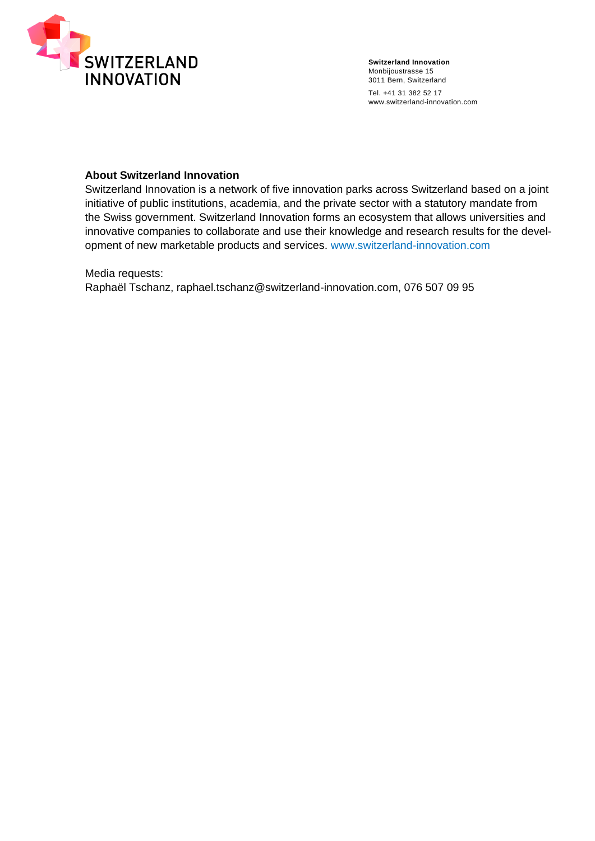

#### **About Switzerland Innovation**

Switzerland Innovation is a network of five innovation parks across Switzerland based on a joint initiative of public institutions, academia, and the private sector with a statutory mandate from the Swiss government. Switzerland Innovation forms an ecosystem that allows universities and innovative companies to collaborate and use their knowledge and research results for the development of new marketable products and services. <www.switzerland-innovation.com>

Media requests:

Raphaël Tschanz, raphael.tschanz@switzerland-innovation.com, 076 507 09 95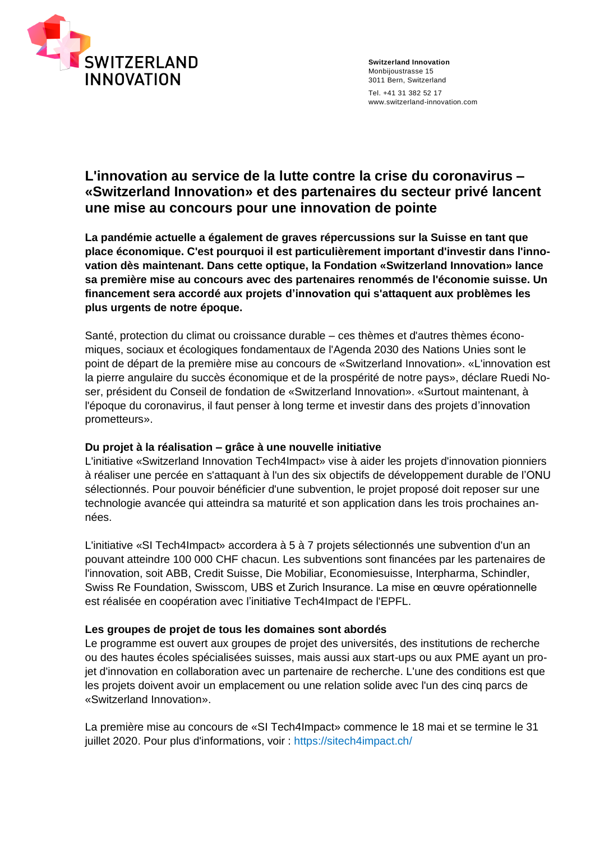

## **L'innovation au service de la lutte contre la crise du coronavirus – «Switzerland Innovation» et des partenaires du secteur privé lancent une mise au concours pour une innovation de pointe**

**La pandémie actuelle a également de graves répercussions sur la Suisse en tant que place économique. C'est pourquoi il est particulièrement important d'investir dans l'innovation dès maintenant. Dans cette optique, la Fondation «Switzerland Innovation» lance sa première mise au concours avec des partenaires renommés de l'économie suisse. Un financement sera accordé aux projets d'innovation qui s'attaquent aux problèmes les plus urgents de notre époque.**

Santé, protection du climat ou croissance durable – ces thèmes et d'autres thèmes économiques, sociaux et écologiques fondamentaux de l'Agenda 2030 des Nations Unies sont le point de départ de la première mise au concours de «Switzerland Innovation». «L'innovation est la pierre angulaire du succès économique et de la prospérité de notre pays», déclare Ruedi Noser, président du Conseil de fondation de «Switzerland Innovation». «Surtout maintenant, à l'époque du coronavirus, il faut penser à long terme et investir dans des projets d'innovation prometteurs».

#### **Du projet à la réalisation – grâce à une nouvelle initiative**

L'initiative «Switzerland Innovation Tech4Impact» vise à aider les projets d'innovation pionniers à réaliser une percée en s'attaquant à l'un des six objectifs de développement durable de l'ONU sélectionnés. Pour pouvoir bénéficier d'une subvention, le projet proposé doit reposer sur une technologie avancée qui atteindra sa maturité et son application dans les trois prochaines années.

L'initiative «SI Tech4Impact» accordera à 5 à 7 projets sélectionnés une subvention d'un an pouvant atteindre 100 000 CHF chacun. Les subventions sont financées par les partenaires de l'innovation, soit ABB, Credit Suisse, Die Mobiliar, Economiesuisse, Interpharma, Schindler, Swiss Re Foundation, Swisscom, UBS et Zurich Insurance. La mise en œuvre opérationnelle est réalisée en coopération avec l'initiative Tech4Impact de l'EPFL.

### **Les groupes de projet de tous les domaines sont abordés**

Le programme est ouvert aux groupes de projet des universités, des institutions de recherche ou des hautes écoles spécialisées suisses, mais aussi aux start-ups ou aux PME ayant un projet d'innovation en collaboration avec un partenaire de recherche. L'une des conditions est que les projets doivent avoir un emplacement ou une relation solide avec l'un des cinq parcs de «Switzerland Innovation».

La première mise au concours de «SI Tech4Impact» commence le 18 mai et se termine le 31 juillet 2020. Pour plus d'informations, voir :<https://sitech4impact.ch/>